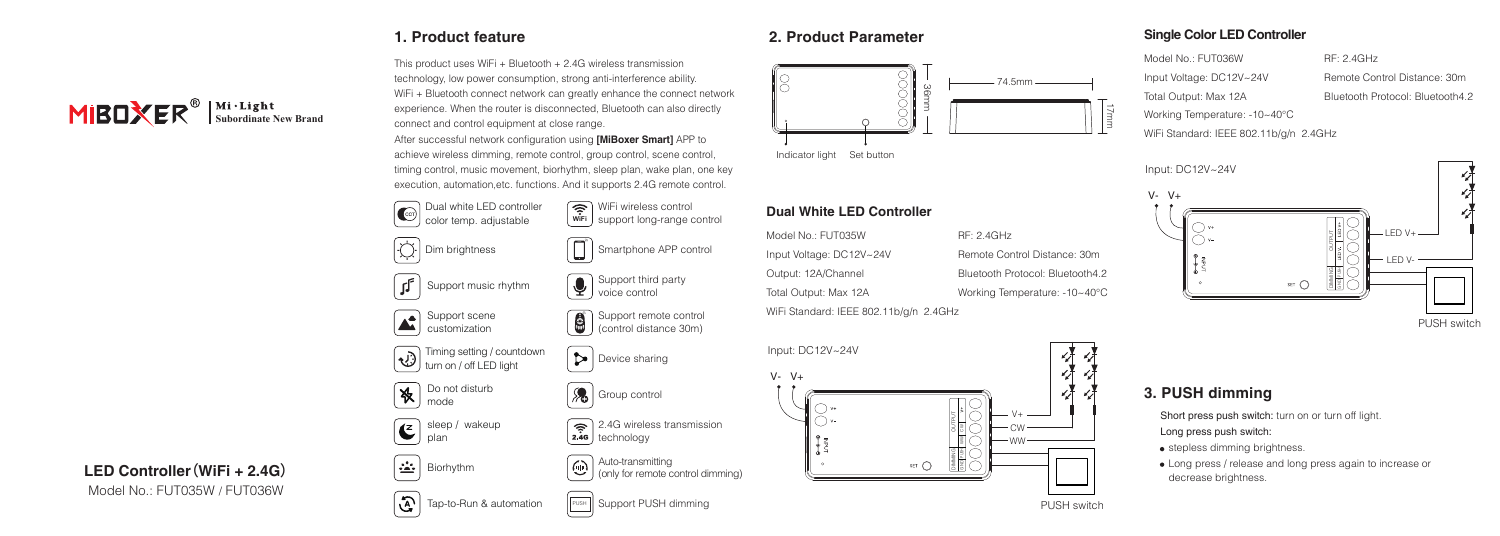This product uses WiFi + Bluetooth + 2.4G wireless transmission technology, low power consumption, strong anti-interference ability. WiFi + Bluetooth connect network can greatly enhance the connect network experience. When the router is disconnected, Bluetooth can also directly

achieve wireless dimming, remote control, group control, scene control,



### **1. Product feature 2. Product Parameter**



### **Dual White LED Controller**

| Model No.: FUT035W                     | RF: 2.4GHz                       |
|----------------------------------------|----------------------------------|
| Input Voltage: DC12V~24V               | Remote Control Distance: 30m     |
| Output: 12A/Channel                    | Bluetooth Protocol: Bluetooth4.2 |
| Total Output: Max 12A                  | Working Temperature: -10~40°C    |
| WiFi Standard: IEEE 802.11b/g/n 2.4GHz |                                  |

Input: DC12V~24V  $V - V +$ V+ OUTPUT ă CW WW WW DIMMING PUSH SET O g

#### **Single Color LED Controller**

Model No.: ELIT036W Input Voltage: DC12V~24V Total Output: Max 12A Working Temperature: -10~40°C

WiFi Standard: IEEE 802.11b/g/n 2.4GHz

Remote Control Distance: 30m Bluetooth Protocol: Bluetooth4.2

RF: 2.4GHz



#### PUSH switch

# **3. PUSH dimming**

Short press push switch: turn on or turn off light.

Long press push switch:

- **•** stepless dimming brightness.
- Long press / release and long press again to increase or decrease brightness.

connect and control equipment at close range. After successful network configuration using **[MiBoxer Smart]** APP to

timing control, music movement, biorhythm, sleep plan, wake plan, one key execution, automation,etc. functions. And it supports 2.4G remote control.



**Support PUSH dimming Example 2018** The Support PUSH switch **PUSH** switch



# **LED Controller**(**WiFi + 2.4G**)

Model No.: FUT035W / FUT036W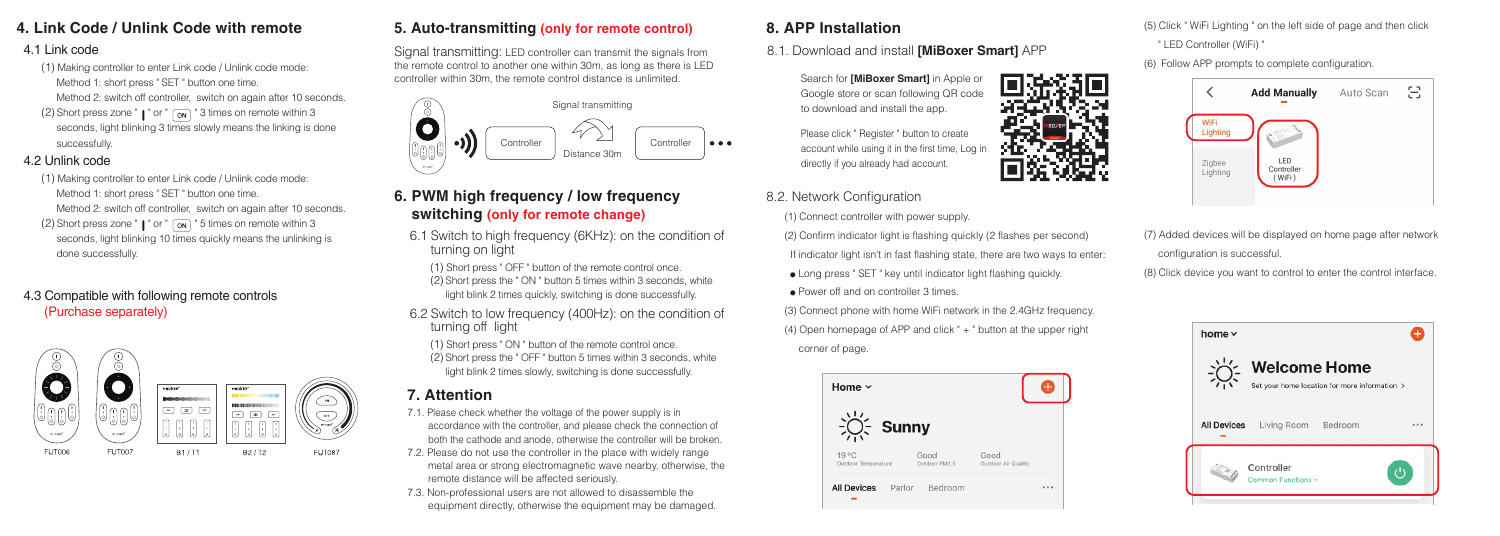# **4. Link Code / Unlink Code with remote**

# 4.1 Link code

- (1) Making controller to enter Link code / Unlink code mode: Method 1: short press " SET " button one time.
- Method 2: switch off controller, switch on again after 10 seconds.
- (2) Short press zone "  $\parallel$  " or "  $\sim$   $\sim$  3 times on remote within 3 seconds, light blinking 3 times slowly means the linking is done successfully.

#### 4.2 Unlink code

done successfully.

- (1) Making controller to enter Link code / Unlink code mode: Method 1: short press " SET " button one time. Method 2: switch off controller, switch on again after 10 seconds. (2) Short press zone " $\parallel$  " or "  $\sim$  " 5 times on remote within 3 seconds, light blinking 10 times quickly means the unlinking is
- 4.3 Compatible with following remote controls (Purchase separately)



# **5. Auto-transmitting (only for remote control)**

Signal transmitting: LED controller can transmit the signals from the remote control to another one within 30m, as long as there is LED controller within 30m, the remote control distance is unlimited.



# **6. PWM high frequency / low frequency switching (only for remote change)**

- 6.1 Switch to high frequency (6KHz): on the condition of turning on light
- (1) Short press " OFF " button of the remote control once. (2) Short press the " ON " button 5 times within 3 seconds, white light blink 2 times quickly, switching is done successfully.
- 6.2 Switch to low frequency (400Hz): on the condition of turning off light
- (1) Short press " ON " button of the remote control once. (2) Short press the " OFF " button 5 times within 3 seconds, white light blink 2 times slowly, switching is done successfully.

# **7. Attention**

- 7.1. Please check whether the voltage of the power supply is in accordance with the controller, and please check the connection of both the cathode and anode, otherwise the controller will be broken.
- 7.2. Please do not use the controller in the place with widely range metal area or strong electromagnetic wave nearby, otherwise, the remote distance will be affected seriously.
- 7.3. Non-professional users are not allowed to disassemble the equipment directly, otherwise the equipment may be damaged.

# **8. APP Installation**

- 8.1. Download and install **[MiBoxer Smart]** APP
	- Search for **[MiBoxer Smart]** in Apple or Google store or scan following QR code to download and install the app.

Please click " Register " button to create account while using it in the first time, Log in directly if you already had account.

- 8.2. Network Configuration
	- (1) Connect controller with power supply.
	- (2) Confirm indicator light is flashing quickly (2 flashes per second) If indicator light isn't in fast flashing state, there are two ways to enter:
	- Long press " SET " key until indicator light flashing quickly.
	- Power off and on controller 3 times.

(3) Connect phone with home WiFi network in the 2.4GHz frequency. (4) Open homepage of APP and click " + " button at the upper right corner of page.



(5) Click " WiFi Lighting " on the left side of page and then click " LED Controller (WiFi) "

(6) Follow APP prompts to complete configuration.



(7) Added devices will be displayed on home page after network configuration is successful.

(8) Click device you want to control to enter the control interface.

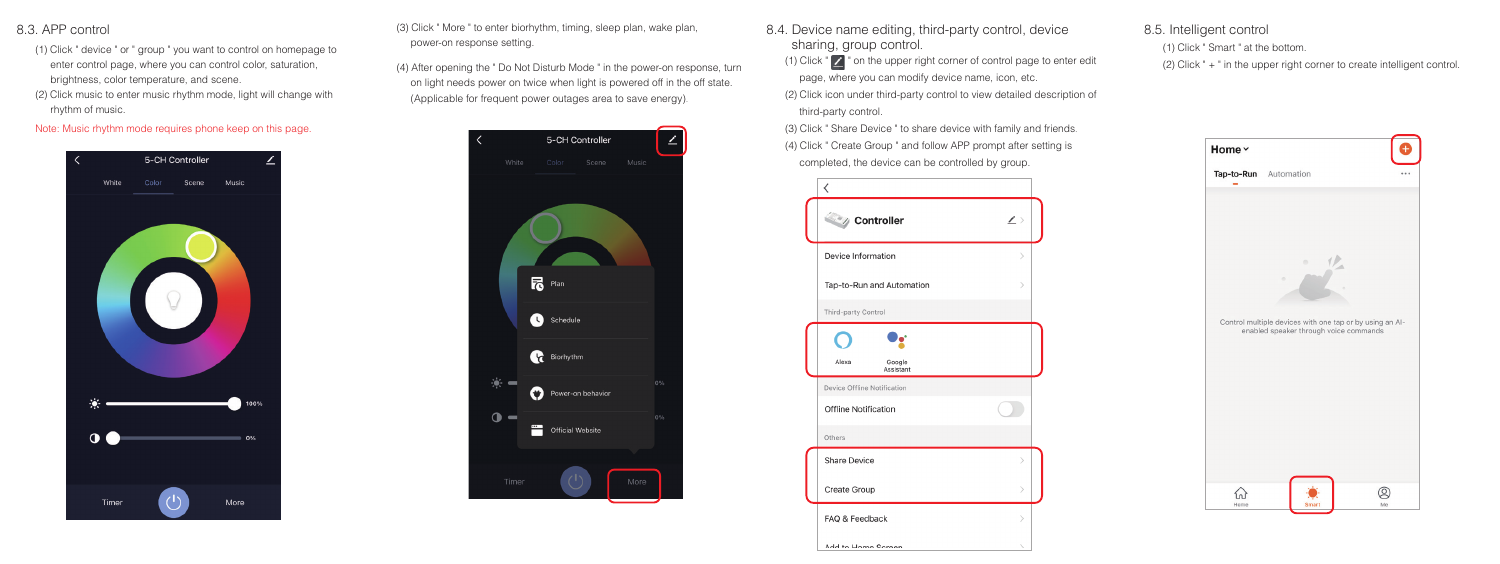#### 8.3. APP control

- (1) Click " device " or " group " you want to control on homepage to enter control page, where you can control color, saturation, brightness, color temperature, and scene.
- (2) Click music to enter music rhythm mode, light will change with rhythm of music.

#### Note: Music rhythm mode requires phone keep on this page.



(3) Click " More " to enter biorhythm, timing, sleep plan, wake plan, power-on response setting.

(4) After opening the " Do Not Disturb Mode " in the power-on response, turn on light needs power on twice when light is powered off in the off state. (Applicable for frequent power outages area to save energy).



- 8.4. Device name editing, third-party control, device sharing, group control.
	- (1) Click "  $\sim$  " on the upper right corner of control page to enter edit page, where you can modify device name, icon, etc.
	- (2) Click icon under third-party control to view detailed description of third-party control.

(3) Click " Share Device " to share device with family and friends. (4) Click " Create Group " and follow APP prompt after setting is completed, the device can be controlled by group.



#### 8.5. Intelligent control

(1) Click " Smart " at the bottom.

(2) Click " + " in the upper right corner to create intelligent control.